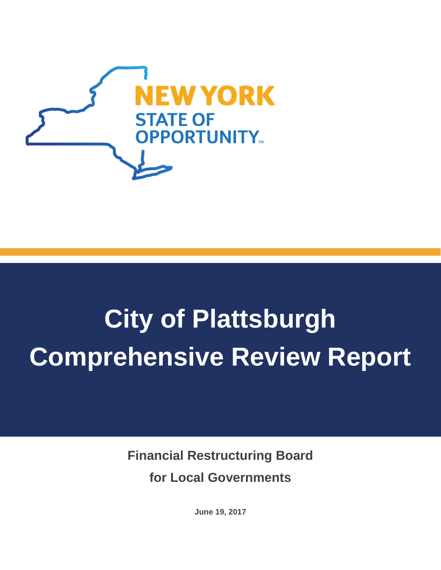

# **City of Plattsburgh Comprehensive Review Report**

**Financial Restructuring Board for Local Governments**

**June 19, 2017**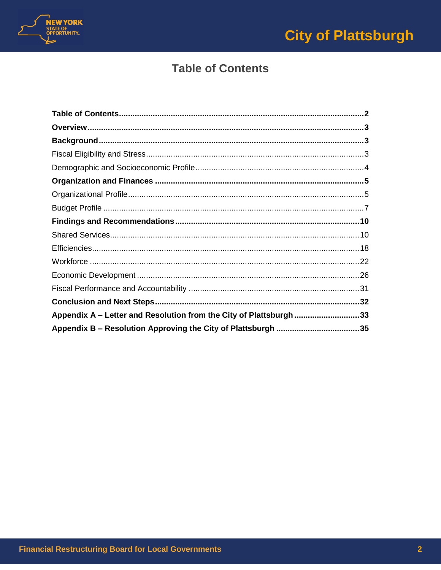

# **Table of Contents**

<span id="page-1-0"></span>

| Appendix A - Letter and Resolution from the City of Plattsburgh 33 |  |
|--------------------------------------------------------------------|--|
|                                                                    |  |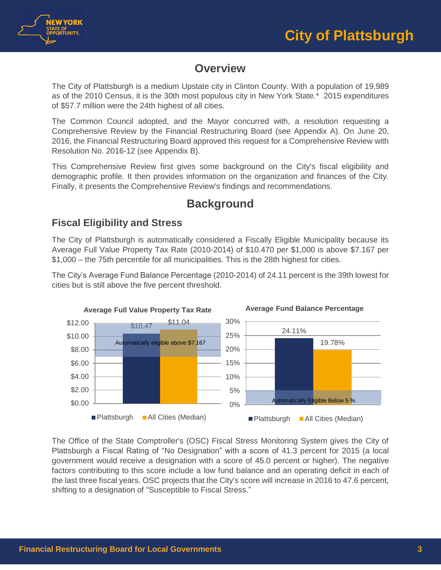



# **Overview**

<span id="page-2-0"></span>The City of Plattsburgh is a medium Upstate city in Clinton County. With a population of 19,989 as of the 2010 Census, it is the 30th most populous city in New York State.\* 2015 expenditures of \$57.7 million were the 24th highest of all cities.

The Common Council adopted, and the Mayor concurred with, a resolution requesting a Comprehensive Review by the Financial Restructuring Board (see Appendix A). On June 20, 2016, the Financial Restructuring Board approved this request for a Comprehensive Review with Resolution No. 2016-12 (see Appendix B).

This Comprehensive Review first gives some background on the City's fiscal eligibility and demographic profile. It then provides information on the organization and finances of the City. Finally, it presents the Comprehensive Review's findings and recommendations.

# **Background**

# <span id="page-2-2"></span><span id="page-2-1"></span>**Fiscal Eligibility and Stress**

The City of Plattsburgh is automatically considered a Fiscally Eligible Municipality because its Average Full Value Property Tax Rate (2010-2014) of \$10.470 per \$1,000 is above \$7.167 per \$1,000 – the 75th percentile for all municipalities. This is the 28th highest for cities.

The City's Average Fund Balance Percentage (2010-2014) of 24.11 percent is the 39th lowest for cities but is still above the five percent threshold.



The Office of the State Comptroller's (OSC) Fiscal Stress Monitoring System gives the City of Plattsburgh a Fiscal Rating of "No Designation" with a score of 41.3 percent for 2015 (a local government would receive a designation with a score of 45.0 percent or higher). The negative factors contributing to this score include a low fund balance and an operating deficit in each of the last three fiscal years. OSC projects that the City's score will increase in 2016 to 47.6 percent, shifting to a designation of "Susceptible to Fiscal Stress."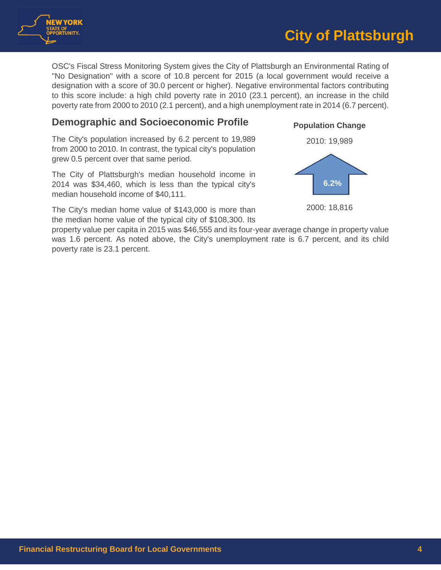

OSC's Fiscal Stress Monitoring System gives the City of Plattsburgh an Environmental Rating of "No Designation" with a score of 10.8 percent for 2015 (a local government would receive a designation with a score of 30.0 percent or higher). Negative environmental factors contributing to this score include: a high child poverty rate in 2010 (23.1 percent), an increase in the child poverty rate from 2000 to 2010 (2.1 percent), and a high unemployment rate in 2014 (6.7 percent).

# <span id="page-3-0"></span>**Demographic and Socioeconomic Profile**

The City's population increased by 6.2 percent to 19,989 from 2000 to 2010. In contrast, the typical city's population grew 0.5 percent over that same period.

The City of Plattsburgh's median household income in 2014 was \$34,460, which is less than the typical city's median household income of \$40,111.

The City's median home value of \$143,000 is more than the median home value of the typical city of \$108,300. Its





2000: 18,816

property value per capita in 2015 was \$46,555 and its four-year average change in property value was 1.6 percent. As noted above, the City's unemployment rate is 6.7 percent, and its child poverty rate is 23.1 percent.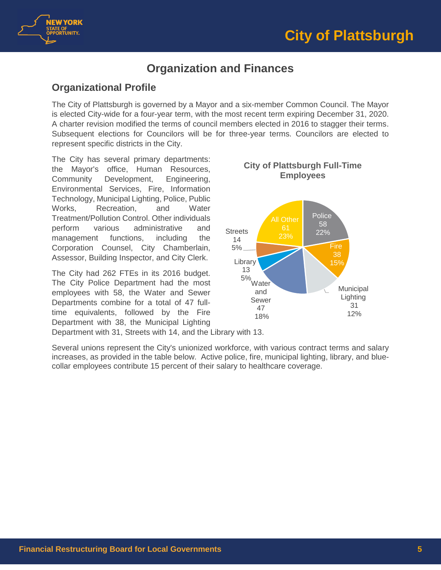



# **Organization and Finances**

# <span id="page-4-1"></span><span id="page-4-0"></span>**Organizational Profile**

The City of Plattsburgh is governed by a Mayor and a six-member Common Council. The Mayor is elected City-wide for a four-year term, with the most recent term expiring December 31, 2020. A charter revision modified the terms of council members elected in 2016 to stagger their terms. Subsequent elections for Councilors will be for three-year terms. Councilors are elected to represent specific districts in the City.

The City has several primary departments: the Mayor's office, Human Resources, Community Development, Engineering, Environmental Services, Fire, Information Technology, Municipal Lighting, Police, Public Works, Recreation, and Water Treatment/Pollution Control. Other individuals perform various administrative and management functions, including the Corporation Counsel, City Chamberlain, Assessor, Building Inspector, and City Clerk.

The City had 262 FTEs in its 2016 budget. The City Police Department had the most employees with 58, the Water and Sewer Departments combine for a total of 47 fulltime equivalents, followed by the Fire Department with 38, the Municipal Lighting



# **Employees**

**City of Plattsburgh Full-Time** 

Department with 31, Streets with 14, and the Library with 13.

Several unions represent the City's unionized workforce, with various contract terms and salary increases, as provided in the table below. Active police, fire, municipal lighting, library, and bluecollar employees contribute 15 percent of their salary to healthcare coverage.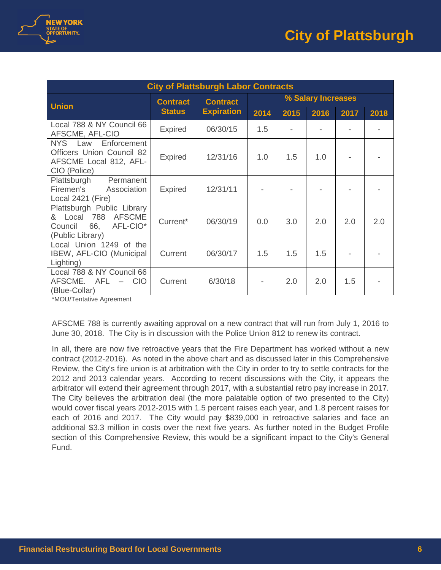

| <b>City of Plattsburgh Labor Contracts</b>                                                                               |                                  |                   |                    |      |      |      |      |
|--------------------------------------------------------------------------------------------------------------------------|----------------------------------|-------------------|--------------------|------|------|------|------|
| <b>Union</b>                                                                                                             | <b>Contract</b><br><b>Status</b> | <b>Contract</b>   | % Salary Increases |      |      |      |      |
|                                                                                                                          |                                  | <b>Expiration</b> | 2014               | 2015 | 2016 | 2017 | 2018 |
| Local 788 & NY Council 66<br>AFSCME, AFL-CIO                                                                             | <b>Expired</b>                   | 06/30/15          | 1.5                |      |      |      |      |
| Enforcement<br>NYS Law<br><b>Officers Union Council 82</b><br>AFSCME Local 812, AFL-<br>CIO (Police)                     | <b>Expired</b>                   | 12/31/16          | 1.0                | 1.5  | 1.0  |      |      |
| Plattsburgh<br>Permanent<br>Firemen's<br>Association<br>Local 2421 (Fire)                                                | <b>Expired</b>                   | 12/31/11          |                    |      |      |      |      |
| Plattsburgh Public Library<br><b>AFSCME</b><br>& Local 788<br>66,<br>AFL-CIO <sup>*</sup><br>Council<br>(Public Library) | Current*                         | 06/30/19          | 0.0                | 3.0  | 2.0  | 2.0  | 2.0  |
| Local Union 1249 of the<br>IBEW, AFL-CIO (Municipal<br>Lighting)                                                         | Current                          | 06/30/17          | 1.5                | 1.5  | 1.5  |      |      |
| Local 788 & NY Council 66<br>AFSCME.<br>AFL –<br><b>CIO</b><br>(Blue-Collar)                                             | Current                          | 6/30/18           |                    | 2.0  | 2.0  | 1.5  |      |

\*MOU/Tentative Agreement

AFSCME 788 is currently awaiting approval on a new contract that will run from July 1, 2016 to June 30, 2018. The City is in discussion with the Police Union 812 to renew its contract.

In all, there are now five retroactive years that the Fire Department has worked without a new contract (2012-2016). As noted in the above chart and as discussed later in this Comprehensive Review, the City's fire union is at arbitration with the City in order to try to settle contracts for the 2012 and 2013 calendar years. According to recent discussions with the City, it appears the arbitrator will extend their agreement through 2017, with a substantial retro pay increase in 2017. The City believes the arbitration deal (the more palatable option of two presented to the City) would cover fiscal years 2012-2015 with 1.5 percent raises each year, and 1.8 percent raises for each of 2016 and 2017. The City would pay \$839,000 in retroactive salaries and face an additional \$3.3 million in costs over the next five years. As further noted in the Budget Profile section of this Comprehensive Review, this would be a significant impact to the City's General Fund.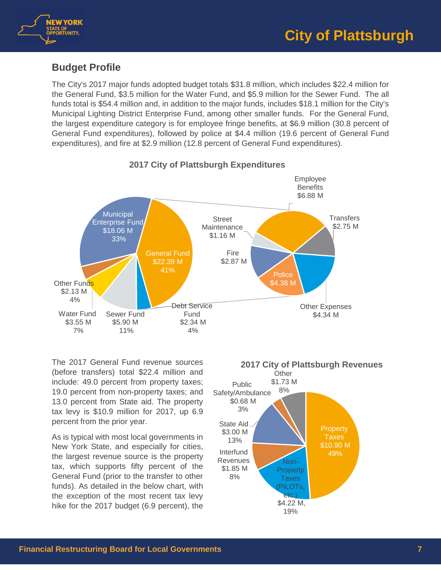

# <span id="page-6-0"></span>**Budget Profile**

The City's 2017 major funds adopted budget totals \$31.8 million, which includes \$22.4 million for the General Fund, \$3.5 million for the Water Fund, and \$5.9 million for the Sewer Fund. The all funds total is \$54.4 million and, in addition to the major funds, includes \$18.1 million for the City's Municipal Lighting District Enterprise Fund, among other smaller funds. For the General Fund, the largest expenditure category is for employee fringe benefits, at \$6.9 million (30.8 percent of General Fund expenditures), followed by police at \$4.4 million (19.6 percent of General Fund expenditures), and fire at \$2.9 million (12.8 percent of General Fund expenditures).



**2017 City of Plattsburgh Expenditures**

The 2017 General Fund revenue sources (before transfers) total \$22.4 million and include: 49.0 percent from property taxes; 19.0 percent from non-property taxes; and 13.0 percent from State aid. The property tax levy is \$10.9 million for 2017, up 6.9 percent from the prior year.

As is typical with most local governments in New York State, and especially for cities, the largest revenue source is the property tax, which supports fifty percent of the General Fund (prior to the transfer to other funds). As detailed in the below chart, with the exception of the most recent tax levy hike for the 2017 budget (6.9 percent), the

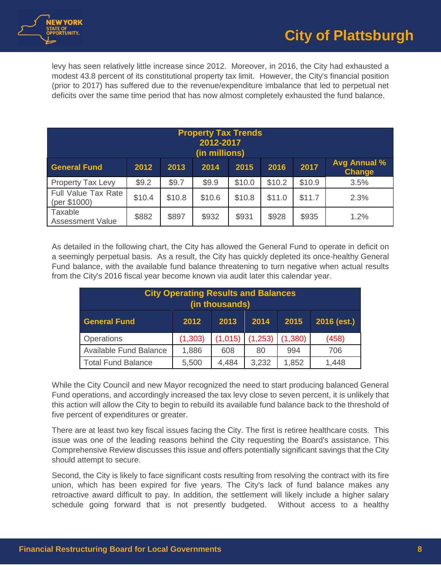

levy has seen relatively little increase since 2012. Moreover, in 2016, the City had exhausted a modest 43.8 percent of its constitutional property tax limit. However, the City's financial position (prior to 2017) has suffered due to the revenue/expenditure imbalance that led to perpetual net deficits over the same time period that has now almost completely exhausted the fund balance.

| <b>Property Tax Trends</b><br>2012-2017<br>(in millions) |        |        |        |        |        |        |                                      |
|----------------------------------------------------------|--------|--------|--------|--------|--------|--------|--------------------------------------|
| <b>General Fund</b>                                      | 2012   | 2013   | 2014   | 2015   | 2016   | 2017   | <b>Avg Annual %</b><br><b>Change</b> |
| <b>Property Tax Levy</b>                                 | \$9.2  | \$9.7  | \$9.9  | \$10.0 | \$10.2 | \$10.9 | 3.5%                                 |
| <b>Full Value Tax Rate</b><br>(per \$1000)               | \$10.4 | \$10.8 | \$10.6 | \$10.8 | \$11.0 | \$11.7 | 2.3%                                 |
| Taxable<br><b>Assessment Value</b>                       | \$882  | \$897  | \$932  | \$931  | \$928  | \$935  | 1.2%                                 |

As detailed in the following chart, the City has allowed the General Fund to operate in deficit on a seemingly perpetual basis. As a result, the City has quickly depleted its once-healthy General Fund balance, with the available fund balance threatening to turn negative when actual results from the City's 2016 fiscal year become known via audit later this calendar year.

| <b>City Operating Results and Balances</b><br>(in thousands)         |         |         |         |         |       |  |  |
|----------------------------------------------------------------------|---------|---------|---------|---------|-------|--|--|
| $2016$ (est.)<br><b>General Fund</b><br>2015<br>2012<br>2013<br>2014 |         |         |         |         |       |  |  |
| Operations                                                           | (1,303) | (1,015) | (1,253) | (1,380) | (458) |  |  |
| <b>Available Fund Balance</b>                                        | 1,886   | 608     | 80      | 994     | 706   |  |  |
| <b>Total Fund Balance</b>                                            | 5,500   | 4,484   | 3,232   | 1,852   | 1,448 |  |  |

While the City Council and new Mayor recognized the need to start producing balanced General Fund operations, and accordingly increased the tax levy close to seven percent, it is unlikely that this action will allow the City to begin to rebuild its available fund balance back to the threshold of five percent of expenditures or greater.

There are at least two key fiscal issues facing the City. The first is retiree healthcare costs. This issue was one of the leading reasons behind the City requesting the Board's assistance. This Comprehensive Review discusses this issue and offers potentially significant savings that the City should attempt to secure.

Second, the City is likely to face significant costs resulting from resolving the contract with its fire union, which has been expired for five years. The City's lack of fund balance makes any retroactive award difficult to pay. In addition, the settlement will likely include a higher salary schedule going forward that is not presently budgeted. Without access to a healthy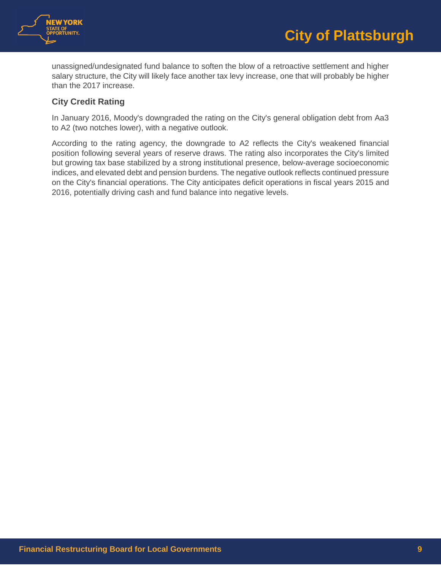

unassigned/undesignated fund balance to soften the blow of a retroactive settlement and higher salary structure, the City will likely face another tax levy increase, one that will probably be higher than the 2017 increase.

# **City Credit Rating**

In January 2016, Moody's downgraded the rating on the City's general obligation debt from Aa3 to A2 (two notches lower), with a negative outlook.

According to the rating agency, the downgrade to A2 reflects the City's weakened financial position following several years of reserve draws. The rating also incorporates the City's limited but growing tax base stabilized by a strong institutional presence, below-average socioeconomic indices, and elevated debt and pension burdens. The negative outlook reflects continued pressure on the City's financial operations. The City anticipates deficit operations in fiscal years 2015 and 2016, potentially driving cash and fund balance into negative levels.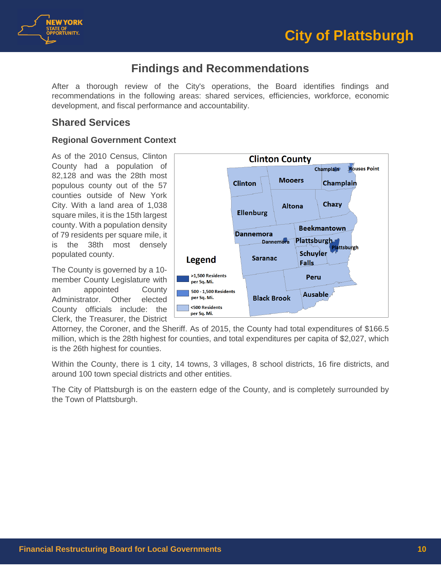



# **Findings and Recommendations**

<span id="page-9-0"></span>After a thorough review of the City's operations, the Board identifies findings and recommendations in the following areas: shared services, efficiencies, workforce, economic development, and fiscal performance and accountability.

# <span id="page-9-1"></span>**Shared Services**

# **Regional Government Context**

As of the 2010 Census, Clinton County had a population of 82,128 and was the 28th most populous county out of the 57 counties outside of New York City. With a land area of 1,038 square miles, it is the 15th largest county. With a population density of 79 residents per square mile, it is the 38th most densely populated county.

The County is governed by a 10 member County Legislature with an appointed County Administrator. Other elected County officials include: the Clerk, the Treasurer, the District



Attorney, the Coroner, and the Sheriff. As of 2015, the County had total expenditures of \$166.5 million, which is the 28th highest for counties, and total expenditures per capita of \$2,027, which is the 26th highest for counties.

Within the County, there is 1 city, 14 towns, 3 villages, 8 school districts, 16 fire districts, and around 100 town special districts and other entities.

The City of Plattsburgh is on the eastern edge of the County, and is completely surrounded by the Town of Plattsburgh.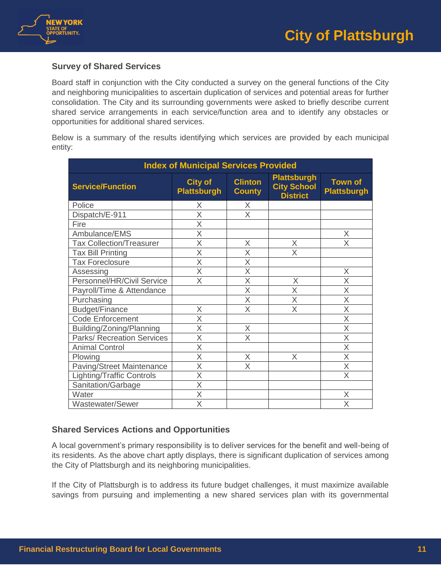

# **Survey of Shared Services**

Board staff in conjunction with the City conducted a survey on the general functions of the City and neighboring municipalities to ascertain duplication of services and potential areas for further consolidation. The City and its surrounding governments were asked to briefly describe current shared service arrangements in each service/function area and to identify any obstacles or opportunities for additional shared services.

Below is a summary of the results identifying which services are provided by each municipal entity:

| <b>Index of Municipal Services Provided</b> |                                      |                                 |                                                             |                                      |  |  |  |
|---------------------------------------------|--------------------------------------|---------------------------------|-------------------------------------------------------------|--------------------------------------|--|--|--|
| <b>Service/Function</b>                     | <b>City of</b><br><b>Plattsburgh</b> | <b>Clinton</b><br><b>County</b> | <b>Plattsburgh</b><br><b>City School</b><br><b>District</b> | <b>Town of</b><br><b>Plattsburgh</b> |  |  |  |
| Police                                      | X                                    | X                               |                                                             |                                      |  |  |  |
| Dispatch/E-911                              | X                                    | X                               |                                                             |                                      |  |  |  |
| Fire                                        | X                                    |                                 |                                                             |                                      |  |  |  |
| Ambulance/EMS                               | X                                    |                                 |                                                             | X                                    |  |  |  |
| <b>Tax Collection/Treasurer</b>             | $\overline{\mathsf{X}}$              | X                               | X                                                           | $\overline{\mathsf{x}}$              |  |  |  |
| <b>Tax Bill Printing</b>                    | $\overline{\mathsf{X}}$              | X                               | X                                                           |                                      |  |  |  |
| <b>Tax Foreclosure</b>                      | X                                    | X                               |                                                             |                                      |  |  |  |
| Assessing                                   | $\overline{\mathsf{X}}$              | X                               |                                                             | X                                    |  |  |  |
| Personnel/HR/Civil Service                  | X                                    | X                               | X                                                           | X                                    |  |  |  |
| Payroll/Time & Attendance                   |                                      | X                               | X                                                           | X                                    |  |  |  |
| Purchasing                                  |                                      | X                               | $\overline{\mathsf{x}}$                                     | $\overline{\sf x}$                   |  |  |  |
| Budget/Finance                              | X                                    | X                               | X                                                           | X                                    |  |  |  |
| <b>Code Enforcement</b>                     | X                                    |                                 |                                                             | X                                    |  |  |  |
| Building/Zoning/Planning                    | X                                    | X                               |                                                             | X                                    |  |  |  |
| <b>Parks/ Recreation Services</b>           | X                                    | X                               |                                                             | X                                    |  |  |  |
| <b>Animal Control</b>                       | $\overline{\mathsf{x}}$              |                                 |                                                             | $\overline{\sf x}$                   |  |  |  |
| Plowing                                     | $\overline{\mathsf{X}}$              | X                               | X                                                           | $\overline{\mathsf{X}}$              |  |  |  |
| Paving/Street Maintenance                   | X                                    | X                               |                                                             | X                                    |  |  |  |
| <b>Lighting/Traffic Controls</b>            | X                                    |                                 |                                                             | X                                    |  |  |  |
| Sanitation/Garbage                          | X                                    |                                 |                                                             |                                      |  |  |  |
| Water                                       | X                                    |                                 |                                                             | Χ                                    |  |  |  |
| Wastewater/Sewer                            | $\overline{\sf X}$                   |                                 |                                                             | $\overline{\mathsf{x}}$              |  |  |  |

# **Shared Services Actions and Opportunities**

A local government's primary responsibility is to deliver services for the benefit and well-being of its residents. As the above chart aptly displays, there is significant duplication of services among the City of Plattsburgh and its neighboring municipalities.

If the City of Plattsburgh is to address its future budget challenges, it must maximize available savings from pursuing and implementing a new shared services plan with its governmental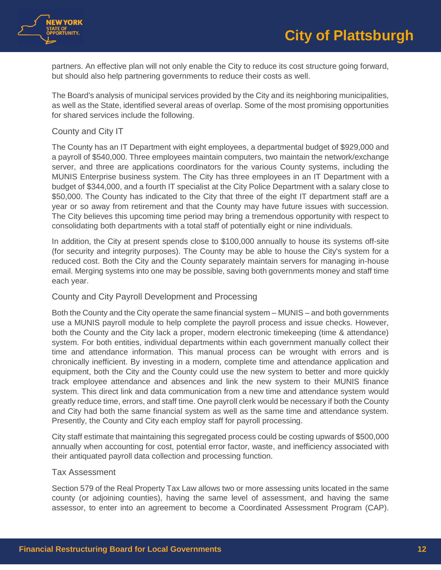



partners. An effective plan will not only enable the City to reduce its cost structure going forward, but should also help partnering governments to reduce their costs as well.

The Board's analysis of municipal services provided by the City and its neighboring municipalities, as well as the State, identified several areas of overlap. Some of the most promising opportunities for shared services include the following.

#### County and City IT

The County has an IT Department with eight employees, a departmental budget of \$929,000 and a payroll of \$540,000. Three employees maintain computers, two maintain the network/exchange server, and three are applications coordinators for the various County systems, including the MUNIS Enterprise business system. The City has three employees in an IT Department with a budget of \$344,000, and a fourth IT specialist at the City Police Department with a salary close to \$50,000. The County has indicated to the City that three of the eight IT department staff are a year or so away from retirement and that the County may have future issues with succession. The City believes this upcoming time period may bring a tremendous opportunity with respect to consolidating both departments with a total staff of potentially eight or nine individuals.

In addition, the City at present spends close to \$100,000 annually to house its systems off-site (for security and integrity purposes). The County may be able to house the City's system for a reduced cost. Both the City and the County separately maintain servers for managing in-house email. Merging systems into one may be possible, saving both governments money and staff time each year.

#### County and City Payroll Development and Processing

Both the County and the City operate the same financial system – MUNIS – and both governments use a MUNIS payroll module to help complete the payroll process and issue checks. However, both the County and the City lack a proper, modern electronic timekeeping (time & attendance) system. For both entities, individual departments within each government manually collect their time and attendance information. This manual process can be wrought with errors and is chronically inefficient. By investing in a modern, complete time and attendance application and equipment, both the City and the County could use the new system to better and more quickly track employee attendance and absences and link the new system to their MUNIS finance system. This direct link and data communication from a new time and attendance system would greatly reduce time, errors, and staff time. One payroll clerk would be necessary if both the County and City had both the same financial system as well as the same time and attendance system. Presently, the County and City each employ staff for payroll processing.

City staff estimate that maintaining this segregated process could be costing upwards of \$500,000 annually when accounting for cost, potential error factor, waste, and inefficiency associated with their antiquated payroll data collection and processing function.

#### Tax Assessment

Section 579 of the Real Property Tax Law allows two or more assessing units located in the same county (or adjoining counties), having the same level of assessment, and having the same assessor, to enter into an agreement to become a Coordinated Assessment Program (CAP).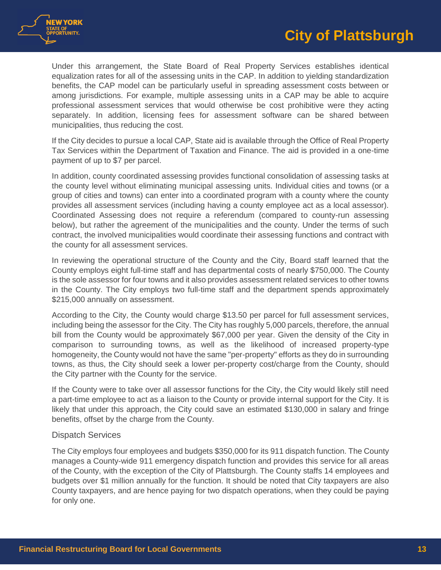



Under this arrangement, the State Board of Real Property Services establishes identical equalization rates for all of the assessing units in the CAP. In addition to yielding standardization benefits, the CAP model can be particularly useful in spreading assessment costs between or among jurisdictions. For example, multiple assessing units in a CAP may be able to acquire professional assessment services that would otherwise be cost prohibitive were they acting separately. In addition, licensing fees for assessment software can be shared between municipalities, thus reducing the cost.

If the City decides to pursue a local CAP, State aid is available through the Office of Real Property Tax Services within the Department of Taxation and Finance. The aid is provided in a one-time payment of up to \$7 per parcel.

In addition, county coordinated assessing provides functional consolidation of assessing tasks at the county level without eliminating municipal assessing units. Individual cities and towns (or a group of cities and towns) can enter into a coordinated program with a county where the county provides all assessment services (including having a county employee act as a local assessor). Coordinated Assessing does not require a referendum (compared to county-run assessing below), but rather the agreement of the municipalities and the county. Under the terms of such contract, the involved municipalities would coordinate their assessing functions and contract with the county for all assessment services.

In reviewing the operational structure of the County and the City, Board staff learned that the County employs eight full-time staff and has departmental costs of nearly \$750,000. The County is the sole assessor for four towns and it also provides assessment related services to other towns in the County. The City employs two full-time staff and the department spends approximately \$215,000 annually on assessment.

According to the City, the County would charge \$13.50 per parcel for full assessment services, including being the assessor for the City. The City has roughly 5,000 parcels, therefore, the annual bill from the County would be approximately \$67,000 per year. Given the density of the City in comparison to surrounding towns, as well as the likelihood of increased property-type homogeneity, the County would not have the same "per-property" efforts as they do in surrounding towns, as thus, the City should seek a lower per-property cost/charge from the County, should the City partner with the County for the service.

If the County were to take over all assessor functions for the City, the City would likely still need a part-time employee to act as a liaison to the County or provide internal support for the City. It is likely that under this approach, the City could save an estimated \$130,000 in salary and fringe benefits, offset by the charge from the County.

#### Dispatch Services

The City employs four employees and budgets \$350,000 for its 911 dispatch function. The County manages a County-wide 911 emergency dispatch function and provides this service for all areas of the County, with the exception of the City of Plattsburgh. The County staffs 14 employees and budgets over \$1 million annually for the function. It should be noted that City taxpayers are also County taxpayers, and are hence paying for two dispatch operations, when they could be paying for only one.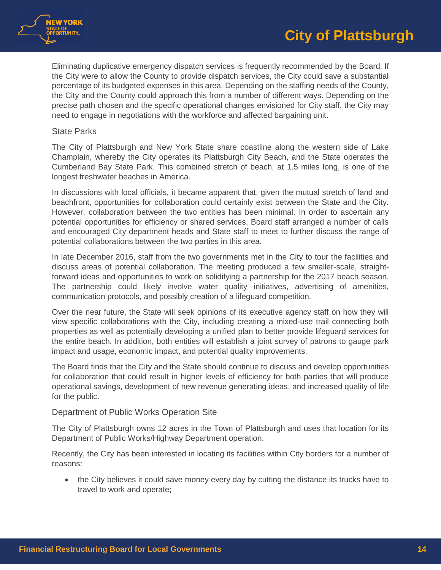

Eliminating duplicative emergency dispatch services is frequently recommended by the Board. If the City were to allow the County to provide dispatch services, the City could save a substantial percentage of its budgeted expenses in this area. Depending on the staffing needs of the County, the City and the County could approach this from a number of different ways. Depending on the precise path chosen and the specific operational changes envisioned for City staff, the City may need to engage in negotiations with the workforce and affected bargaining unit.

#### State Parks

The City of Plattsburgh and New York State share coastline along the western side of Lake Champlain, whereby the City operates its Plattsburgh City Beach, and the State operates the Cumberland Bay State Park. This combined stretch of beach, at 1.5 miles long, is one of the longest freshwater beaches in America.

In discussions with local officials, it became apparent that, given the mutual stretch of land and beachfront, opportunities for collaboration could certainly exist between the State and the City. However, collaboration between the two entities has been minimal. In order to ascertain any potential opportunities for efficiency or shared services, Board staff arranged a number of calls and encouraged City department heads and State staff to meet to further discuss the range of potential collaborations between the two parties in this area.

In late December 2016, staff from the two governments met in the City to tour the facilities and discuss areas of potential collaboration. The meeting produced a few smaller-scale, straightforward ideas and opportunities to work on solidifying a partnership for the 2017 beach season. The partnership could likely involve water quality initiatives, advertising of amenities, communication protocols, and possibly creation of a lifeguard competition.

Over the near future, the State will seek opinions of its executive agency staff on how they will view specific collaborations with the City, including creating a mixed-use trail connecting both properties as well as potentially developing a unified plan to better provide lifeguard services for the entire beach. In addition, both entities will establish a joint survey of patrons to gauge park impact and usage, economic impact, and potential quality improvements.

The Board finds that the City and the State should continue to discuss and develop opportunities for collaboration that could result in higher levels of efficiency for both parties that will produce operational savings, development of new revenue generating ideas, and increased quality of life for the public.

#### Department of Public Works Operation Site

The City of Plattsburgh owns 12 acres in the Town of Plattsburgh and uses that location for its Department of Public Works/Highway Department operation.

Recently, the City has been interested in locating its facilities within City borders for a number of reasons:

• the City believes it could save money every day by cutting the distance its trucks have to travel to work and operate;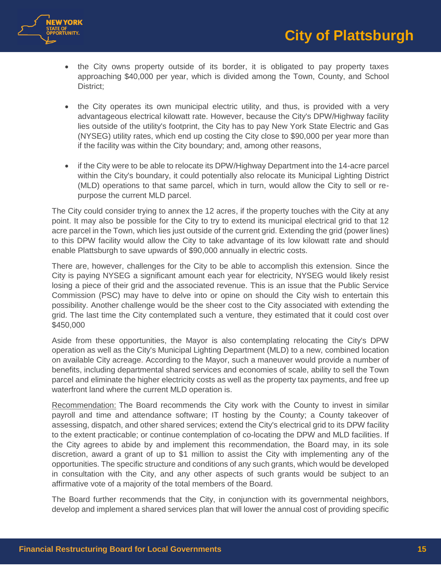

- the City owns property outside of its border, it is obligated to pay property taxes approaching \$40,000 per year, which is divided among the Town, County, and School District;
- the City operates its own municipal electric utility, and thus, is provided with a very advantageous electrical kilowatt rate. However, because the City's DPW/Highway facility lies outside of the utility's footprint, the City has to pay New York State Electric and Gas (NYSEG) utility rates, which end up costing the City close to \$90,000 per year more than if the facility was within the City boundary; and, among other reasons,
- if the City were to be able to relocate its DPW/Highway Department into the 14-acre parcel within the City's boundary, it could potentially also relocate its Municipal Lighting District (MLD) operations to that same parcel, which in turn, would allow the City to sell or repurpose the current MLD parcel.

The City could consider trying to annex the 12 acres, if the property touches with the City at any point. It may also be possible for the City to try to extend its municipal electrical grid to that 12 acre parcel in the Town, which lies just outside of the current grid. Extending the grid (power lines) to this DPW facility would allow the City to take advantage of its low kilowatt rate and should enable Plattsburgh to save upwards of \$90,000 annually in electric costs.

There are, however, challenges for the City to be able to accomplish this extension. Since the City is paying NYSEG a significant amount each year for electricity, NYSEG would likely resist losing a piece of their grid and the associated revenue. This is an issue that the Public Service Commission (PSC) may have to delve into or opine on should the City wish to entertain this possibility. Another challenge would be the sheer cost to the City associated with extending the grid. The last time the City contemplated such a venture, they estimated that it could cost over \$450,000

Aside from these opportunities, the Mayor is also contemplating relocating the City's DPW operation as well as the City's Municipal Lighting Department (MLD) to a new, combined location on available City acreage. According to the Mayor, such a maneuver would provide a number of benefits, including departmental shared services and economies of scale, ability to sell the Town parcel and eliminate the higher electricity costs as well as the property tax payments, and free up waterfront land where the current MLD operation is.

Recommendation: The Board recommends the City work with the County to invest in similar payroll and time and attendance software; IT hosting by the County; a County takeover of assessing, dispatch, and other shared services; extend the City's electrical grid to its DPW facility to the extent practicable; or continue contemplation of co-locating the DPW and MLD facilities. If the City agrees to abide by and implement this recommendation, the Board may, in its sole discretion, award a grant of up to \$1 million to assist the City with implementing any of the opportunities. The specific structure and conditions of any such grants, which would be developed in consultation with the City, and any other aspects of such grants would be subject to an affirmative vote of a majority of the total members of the Board.

The Board further recommends that the City, in conjunction with its governmental neighbors, develop and implement a shared services plan that will lower the annual cost of providing specific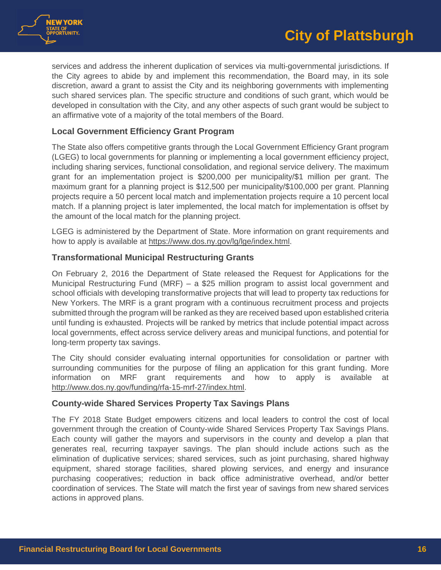



services and address the inherent duplication of services via multi-governmental jurisdictions. If the City agrees to abide by and implement this recommendation, the Board may, in its sole discretion, award a grant to assist the City and its neighboring governments with implementing such shared services plan. The specific structure and conditions of such grant, which would be developed in consultation with the City, and any other aspects of such grant would be subject to an affirmative vote of a majority of the total members of the Board.

#### **Local Government Efficiency Grant Program**

The State also offers competitive grants through the Local Government Efficiency Grant program (LGEG) to local governments for planning or implementing a local government efficiency project, including sharing services, functional consolidation, and regional service delivery. The maximum grant for an implementation project is \$200,000 per municipality/\$1 million per grant. The maximum grant for a planning project is \$12,500 per municipality/\$100,000 per grant. Planning projects require a 50 percent local match and implementation projects require a 10 percent local match. If a planning project is later implemented, the local match for implementation is offset by the amount of the local match for the planning project.

LGEG is administered by the Department of State. More information on grant requirements and how to apply is available at [https://www.dos.ny.gov/lg/lge/index.html](https://www.dos.ny.gov/lg/lge/index.htm).

#### **Transformational Municipal Restructuring Grants**

On February 2, 2016 the Department of State released the Request for Applications for the Municipal Restructuring Fund (MRF) – a \$25 million program to assist local government and school officials with developing transformative projects that will lead to property tax reductions for New Yorkers. The MRF is a grant program with a continuous recruitment process and projects submitted through the program will be ranked as they are received based upon established criteria until funding is exhausted. Projects will be ranked by metrics that include potential impact across local governments, effect across service delivery areas and municipal functions, and potential for long-term property tax savings.

The City should consider evaluating internal opportunities for consolidation or partner with surrounding communities for the purpose of filing an application for this grant funding. More information on MRF grant requirements and how to apply is available at [http://www.dos.ny.gov/funding/rfa-15-mrf-27/index.html.](http://www.dos.ny.gov/funding/rfa-15-mrf-27/index.html)

## **County-wide Shared Services Property Tax Savings Plans**

The FY 2018 State Budget empowers citizens and local leaders to control the cost of local government through the creation of County-wide Shared Services Property Tax Savings Plans. Each county will gather the mayors and supervisors in the county and develop a plan that generates real, recurring taxpayer savings. The plan should include actions such as the elimination of duplicative services; shared services, such as joint purchasing, shared highway equipment, shared storage facilities, shared plowing services, and energy and insurance purchasing cooperatives; reduction in back office administrative overhead, and/or better coordination of services. The State will match the first year of savings from new shared services actions in approved plans.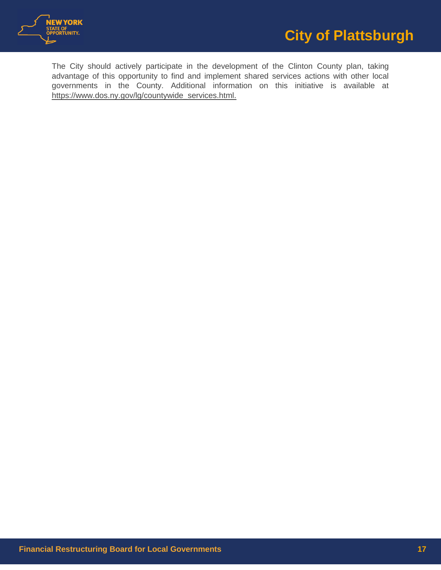

The City should actively participate in the development of the Clinton County plan, taking advantage of this opportunity to find and implement shared services actions with other local governments in the County. Additional information on this initiative is available at https://www.dos.ny.gov/lg/countywide\_services.html.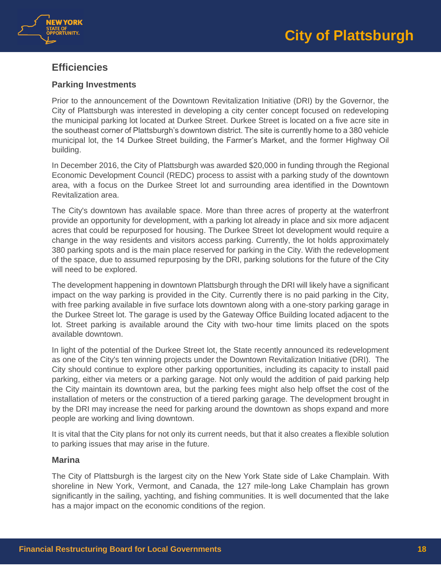



# <span id="page-17-0"></span>**Efficiencies**

# **Parking Investments**

Prior to the announcement of the Downtown Revitalization Initiative (DRI) by the Governor, the City of Plattsburgh was interested in developing a city center concept focused on redeveloping the municipal parking lot located at Durkee Street. Durkee Street is located on a five acre site in the southeast corner of Plattsburgh's downtown district. The site is currently home to a 380 vehicle municipal lot, the 14 Durkee Street building, the Farmer's Market, and the former Highway Oil building.

In December 2016, the City of Plattsburgh was awarded \$20,000 in funding through the Regional Economic Development Council (REDC) process to assist with a parking study of the downtown area, with a focus on the Durkee Street lot and surrounding area identified in the Downtown Revitalization area.

The City's downtown has available space. More than three acres of property at the waterfront provide an opportunity for development, with a parking lot already in place and six more adjacent acres that could be repurposed for housing. The Durkee Street lot development would require a change in the way residents and visitors access parking. Currently, the lot holds approximately 380 parking spots and is the main place reserved for parking in the City. With the redevelopment of the space, due to assumed repurposing by the DRI, parking solutions for the future of the City will need to be explored.

The development happening in downtown Plattsburgh through the DRI will likely have a significant impact on the way parking is provided in the City. Currently there is no paid parking in the City, with free parking available in five surface lots downtown along with a one-story parking garage in the Durkee Street lot. The garage is used by the Gateway Office Building located adjacent to the lot. Street parking is available around the City with two-hour time limits placed on the spots available downtown.

In light of the potential of the Durkee Street lot, the State recently announced its redevelopment as one of the City's ten winning projects under the Downtown Revitalization Initiative (DRI). The City should continue to explore other parking opportunities, including its capacity to install paid parking, either via meters or a parking garage. Not only would the addition of paid parking help the City maintain its downtown area, but the parking fees might also help offset the cost of the installation of meters or the construction of a tiered parking garage. The development brought in by the DRI may increase the need for parking around the downtown as shops expand and more people are working and living downtown.

It is vital that the City plans for not only its current needs, but that it also creates a flexible solution to parking issues that may arise in the future.

## **Marina**

The City of Plattsburgh is the largest city on the New York State side of Lake Champlain. With shoreline in New York, Vermont, and Canada, the 127 mile-long Lake Champlain has grown significantly in the sailing, yachting, and fishing communities. It is well documented that the lake has a major impact on the economic conditions of the region.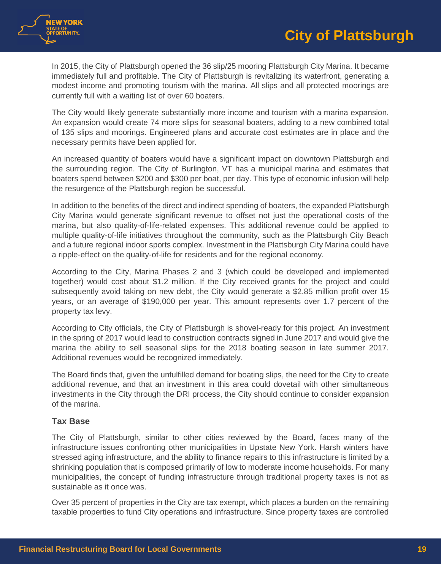

In 2015, the City of Plattsburgh opened the 36 slip/25 mooring Plattsburgh City Marina. It became immediately full and profitable. The City of Plattsburgh is revitalizing its waterfront, generating a modest income and promoting tourism with the marina. All slips and all protected moorings are currently full with a waiting list of over 60 boaters.

The City would likely generate substantially more income and tourism with a marina expansion. An expansion would create 74 more slips for seasonal boaters, adding to a new combined total of 135 slips and moorings. Engineered plans and accurate cost estimates are in place and the necessary permits have been applied for.

An increased quantity of boaters would have a significant impact on downtown Plattsburgh and the surrounding region. The City of Burlington, VT has a municipal marina and estimates that boaters spend between \$200 and \$300 per boat, per day. This type of economic infusion will help the resurgence of the Plattsburgh region be successful.

In addition to the benefits of the direct and indirect spending of boaters, the expanded Plattsburgh City Marina would generate significant revenue to offset not just the operational costs of the marina, but also quality-of-life-related expenses. This additional revenue could be applied to multiple quality-of-life initiatives throughout the community, such as the Plattsburgh City Beach and a future regional indoor sports complex. Investment in the Plattsburgh City Marina could have a ripple-effect on the quality-of-life for residents and for the regional economy.

According to the City, Marina Phases 2 and 3 (which could be developed and implemented together) would cost about \$1.2 million. If the City received grants for the project and could subsequently avoid taking on new debt, the City would generate a \$2.85 million profit over 15 years, or an average of \$190,000 per year. This amount represents over 1.7 percent of the property tax levy.

According to City officials, the City of Plattsburgh is shovel-ready for this project. An investment in the spring of 2017 would lead to construction contracts signed in June 2017 and would give the marina the ability to sell seasonal slips for the 2018 boating season in late summer 2017. Additional revenues would be recognized immediately.

The Board finds that, given the unfulfilled demand for boating slips, the need for the City to create additional revenue, and that an investment in this area could dovetail with other simultaneous investments in the City through the DRI process, the City should continue to consider expansion of the marina.

# **Tax Base**

The City of Plattsburgh, similar to other cities reviewed by the Board, faces many of the infrastructure issues confronting other municipalities in Upstate New York. Harsh winters have stressed aging infrastructure, and the ability to finance repairs to this infrastructure is limited by a shrinking population that is composed primarily of low to moderate income households. For many municipalities, the concept of funding infrastructure through traditional property taxes is not as sustainable as it once was.

Over 35 percent of properties in the City are tax exempt, which places a burden on the remaining taxable properties to fund City operations and infrastructure. Since property taxes are controlled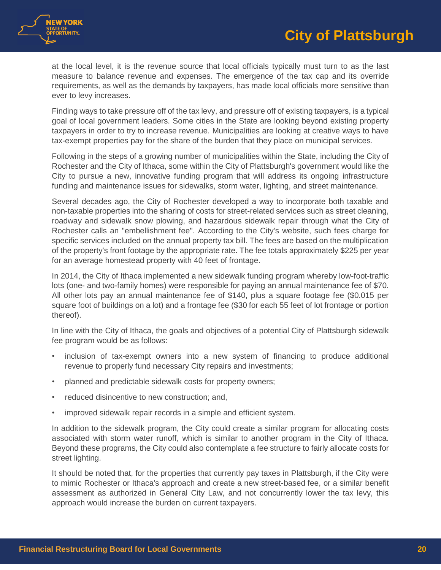

at the local level, it is the revenue source that local officials typically must turn to as the last measure to balance revenue and expenses. The emergence of the tax cap and its override requirements, as well as the demands by taxpayers, has made local officials more sensitive than ever to levy increases.

Finding ways to take pressure off of the tax levy, and pressure off of existing taxpayers, is a typical goal of local government leaders. Some cities in the State are looking beyond existing property taxpayers in order to try to increase revenue. Municipalities are looking at creative ways to have tax-exempt properties pay for the share of the burden that they place on municipal services.

Following in the steps of a growing number of municipalities within the State, including the City of Rochester and the City of Ithaca, some within the City of Plattsburgh's government would like the City to pursue a new, innovative funding program that will address its ongoing infrastructure funding and maintenance issues for sidewalks, storm water, lighting, and street maintenance.

Several decades ago, the City of Rochester developed a way to incorporate both taxable and non-taxable properties into the sharing of costs for street-related services such as street cleaning, roadway and sidewalk snow plowing, and hazardous sidewalk repair through what the City of Rochester calls an "embellishment fee". According to the City's website, such fees charge for specific services included on the annual property tax bill. The fees are based on the multiplication of the property's front footage by the appropriate rate. The fee totals approximately \$225 per year for an average homestead property with 40 feet of frontage.

In 2014, the City of Ithaca implemented a new sidewalk funding program whereby low-foot-traffic lots (one- and two-family homes) were responsible for paying an annual maintenance fee of \$70. All other lots pay an annual maintenance fee of \$140, plus a square footage fee (\$0.015 per square foot of buildings on a lot) and a frontage fee (\$30 for each 55 feet of lot frontage or portion thereof).

In line with the City of Ithaca, the goals and objectives of a potential City of Plattsburgh sidewalk fee program would be as follows:

- inclusion of tax-exempt owners into a new system of financing to produce additional revenue to properly fund necessary City repairs and investments;
- planned and predictable sidewalk costs for property owners;
- reduced disincentive to new construction; and,
- improved sidewalk repair records in a simple and efficient system.

In addition to the sidewalk program, the City could create a similar program for allocating costs associated with storm water runoff, which is similar to another program in the City of Ithaca. Beyond these programs, the City could also contemplate a fee structure to fairly allocate costs for street lighting.

It should be noted that, for the properties that currently pay taxes in Plattsburgh, if the City were to mimic Rochester or Ithaca's approach and create a new street-based fee, or a similar benefit assessment as authorized in General City Law, and not concurrently lower the tax levy, this approach would increase the burden on current taxpayers.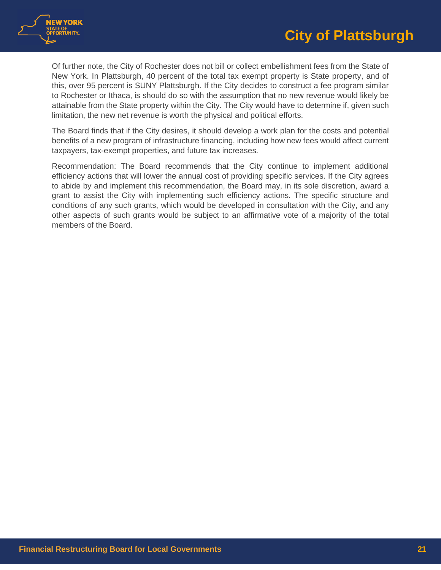

Of further note, the City of Rochester does not bill or collect embellishment fees from the State of New York. In Plattsburgh, 40 percent of the total tax exempt property is State property, and of this, over 95 percent is SUNY Plattsburgh. If the City decides to construct a fee program similar to Rochester or Ithaca, is should do so with the assumption that no new revenue would likely be attainable from the State property within the City. The City would have to determine if, given such limitation, the new net revenue is worth the physical and political efforts.

The Board finds that if the City desires, it should develop a work plan for the costs and potential benefits of a new program of infrastructure financing, including how new fees would affect current taxpayers, tax-exempt properties, and future tax increases.

Recommendation: The Board recommends that the City continue to implement additional efficiency actions that will lower the annual cost of providing specific services. If the City agrees to abide by and implement this recommendation, the Board may, in its sole discretion, award a grant to assist the City with implementing such efficiency actions. The specific structure and conditions of any such grants, which would be developed in consultation with the City, and any other aspects of such grants would be subject to an affirmative vote of a majority of the total members of the Board.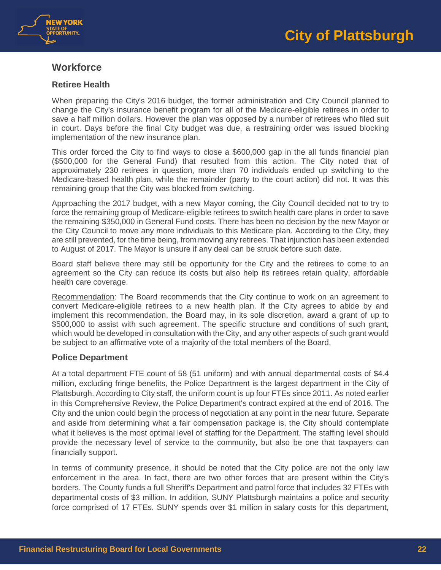



# <span id="page-21-0"></span>**Workforce**

# **Retiree Health**

When preparing the City's 2016 budget, the former administration and City Council planned to change the City's insurance benefit program for all of the Medicare-eligible retirees in order to save a half million dollars. However the plan was opposed by a number of retirees who filed suit in court. Days before the final City budget was due, a restraining order was issued blocking implementation of the new insurance plan.

This order forced the City to find ways to close a \$600,000 gap in the all funds financial plan (\$500,000 for the General Fund) that resulted from this action. The City noted that of approximately 230 retirees in question, more than 70 individuals ended up switching to the Medicare-based health plan, while the remainder (party to the court action) did not. It was this remaining group that the City was blocked from switching.

Approaching the 2017 budget, with a new Mayor coming, the City Council decided not to try to force the remaining group of Medicare-eligible retirees to switch health care plans in order to save the remaining \$350,000 in General Fund costs. There has been no decision by the new Mayor or the City Council to move any more individuals to this Medicare plan. According to the City, they are still prevented, for the time being, from moving any retirees. That injunction has been extended to August of 2017. The Mayor is unsure if any deal can be struck before such date.

Board staff believe there may still be opportunity for the City and the retirees to come to an agreement so the City can reduce its costs but also help its retirees retain quality, affordable health care coverage.

Recommendation: The Board recommends that the City continue to work on an agreement to convert Medicare-eligible retirees to a new health plan. If the City agrees to abide by and implement this recommendation, the Board may, in its sole discretion, award a grant of up to \$500,000 to assist with such agreement. The specific structure and conditions of such grant, which would be developed in consultation with the City, and any other aspects of such grant would be subject to an affirmative vote of a majority of the total members of the Board.

## **Police Department**

At a total department FTE count of 58 (51 uniform) and with annual departmental costs of \$4.4 million, excluding fringe benefits, the Police Department is the largest department in the City of Plattsburgh. According to City staff, the uniform count is up four FTEs since 2011. As noted earlier in this Comprehensive Review, the Police Department's contract expired at the end of 2016. The City and the union could begin the process of negotiation at any point in the near future. Separate and aside from determining what a fair compensation package is, the City should contemplate what it believes is the most optimal level of staffing for the Department. The staffing level should provide the necessary level of service to the community, but also be one that taxpayers can financially support.

In terms of community presence, it should be noted that the City police are not the only law enforcement in the area. In fact, there are two other forces that are present within the City's borders. The County funds a full Sheriff's Department and patrol force that includes 32 FTEs with departmental costs of \$3 million. In addition, SUNY Plattsburgh maintains a police and security force comprised of 17 FTEs. SUNY spends over \$1 million in salary costs for this department,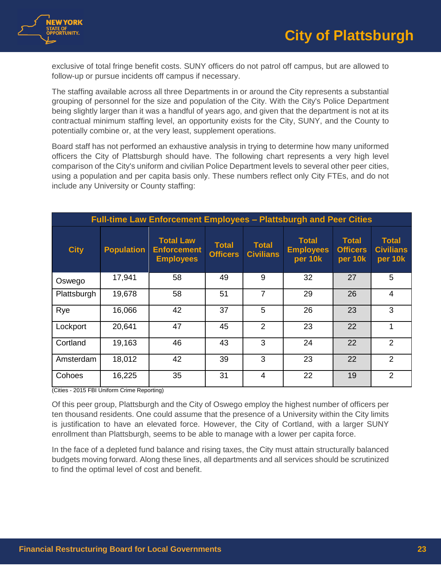

exclusive of total fringe benefit costs. SUNY officers do not patrol off campus, but are allowed to follow-up or pursue incidents off campus if necessary.

The staffing available across all three Departments in or around the City represents a substantial grouping of personnel for the size and population of the City. With the City's Police Department being slightly larger than it was a handful of years ago, and given that the department is not at its contractual minimum staffing level, an opportunity exists for the City, SUNY, and the County to potentially combine or, at the very least, supplement operations.

Board staff has not performed an exhaustive analysis in trying to determine how many uniformed officers the City of Plattsburgh should have. The following chart represents a very high level comparison of the City's uniform and civilian Police Department levels to several other peer cities, using a population and per capita basis only. These numbers reflect only City FTEs, and do not include any University or County staffing:

| <b>Full-time Law Enforcement Employees - Plattsburgh and Peer Cities</b> |                   |                                                            |                                 |                                  |                                             |                                            |                                             |  |  |
|--------------------------------------------------------------------------|-------------------|------------------------------------------------------------|---------------------------------|----------------------------------|---------------------------------------------|--------------------------------------------|---------------------------------------------|--|--|
| <b>City</b>                                                              | <b>Population</b> | <b>Total Law</b><br><b>Enforcement</b><br><b>Employees</b> | <b>Total</b><br><b>Officers</b> | <b>Total</b><br><b>Civilians</b> | <b>Total</b><br><b>Employees</b><br>per 10k | <b>Total</b><br><b>Officers</b><br>per 10k | <b>Total</b><br><b>Civilians</b><br>per 10k |  |  |
| Oswego                                                                   | 17,941            | 58                                                         | 49                              | 9                                | 32                                          | 27                                         | 5                                           |  |  |
| Plattsburgh                                                              | 19,678            | 58                                                         | 51                              | $\overline{7}$                   | 29                                          | 26                                         | $\overline{4}$                              |  |  |
| Rye                                                                      | 16,066            | 42                                                         | 37                              | 5                                | 26                                          | 23                                         | 3                                           |  |  |
| Lockport                                                                 | 20,641            | 47                                                         | 45                              | $\overline{2}$                   | 23                                          | 22                                         | 1                                           |  |  |
| Cortland                                                                 | 19,163            | 46                                                         | 43                              | 3                                | 24                                          | 22                                         | 2                                           |  |  |
| Amsterdam                                                                | 18,012            | 42                                                         | 39                              | 3                                | 23                                          | 22                                         | $\overline{2}$                              |  |  |
| Cohoes                                                                   | 16,225            | 35                                                         | 31                              | $\overline{4}$                   | 22                                          | 19                                         | 2                                           |  |  |

(Cities - 2015 FBI Uniform Crime Reporting)

Of this peer group, Plattsburgh and the City of Oswego employ the highest number of officers per ten thousand residents. One could assume that the presence of a University within the City limits is justification to have an elevated force. However, the City of Cortland, with a larger SUNY enrollment than Plattsburgh, seems to be able to manage with a lower per capita force.

In the face of a depleted fund balance and rising taxes, the City must attain structurally balanced budgets moving forward. Along these lines, all departments and all services should be scrutinized to find the optimal level of cost and benefit.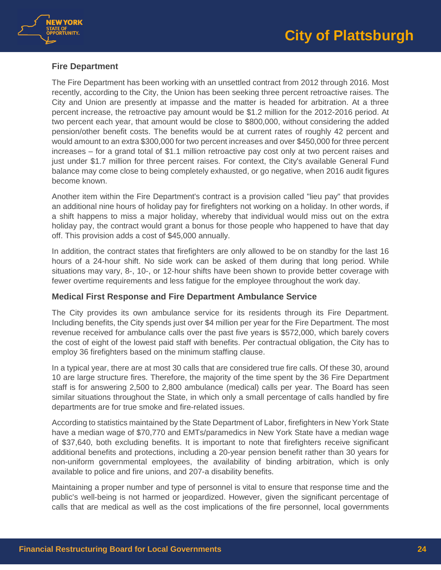



## **Fire Department**

The Fire Department has been working with an unsettled contract from 2012 through 2016. Most recently, according to the City, the Union has been seeking three percent retroactive raises. The City and Union are presently at impasse and the matter is headed for arbitration. At a three percent increase, the retroactive pay amount would be \$1.2 million for the 2012-2016 period. At two percent each year, that amount would be close to \$800,000, without considering the added pension/other benefit costs. The benefits would be at current rates of roughly 42 percent and would amount to an extra \$300,000 for two percent increases and over \$450,000 for three percent increases – for a grand total of \$1.1 million retroactive pay cost only at two percent raises and just under \$1.7 million for three percent raises. For context, the City's available General Fund balance may come close to being completely exhausted, or go negative, when 2016 audit figures become known.

Another item within the Fire Department's contract is a provision called "lieu pay" that provides an additional nine hours of holiday pay for firefighters not working on a holiday. In other words, if a shift happens to miss a major holiday, whereby that individual would miss out on the extra holiday pay, the contract would grant a bonus for those people who happened to have that day off. This provision adds a cost of \$45,000 annually.

In addition, the contract states that firefighters are only allowed to be on standby for the last 16 hours of a 24-hour shift. No side work can be asked of them during that long period. While situations may vary, 8-, 10-, or 12-hour shifts have been shown to provide better coverage with fewer overtime requirements and less fatigue for the employee throughout the work day.

## **Medical First Response and Fire Department Ambulance Service**

The City provides its own ambulance service for its residents through its Fire Department. Including benefits, the City spends just over \$4 million per year for the Fire Department. The most revenue received for ambulance calls over the past five years is \$572,000, which barely covers the cost of eight of the lowest paid staff with benefits. Per contractual obligation, the City has to employ 36 firefighters based on the minimum staffing clause.

In a typical year, there are at most 30 calls that are considered true fire calls. Of these 30, around 10 are large structure fires. Therefore, the majority of the time spent by the 36 Fire Department staff is for answering 2,500 to 2,800 ambulance (medical) calls per year. The Board has seen similar situations throughout the State, in which only a small percentage of calls handled by fire departments are for true smoke and fire-related issues.

According to statistics maintained by the State Department of Labor, firefighters in New York State have a median wage of \$70,770 and EMTs/paramedics in New York State have a median wage of \$37,640, both excluding benefits. It is important to note that firefighters receive significant additional benefits and protections, including a 20-year pension benefit rather than 30 years for non-uniform governmental employees, the availability of binding arbitration, which is only available to police and fire unions, and 207-a disability benefits.

Maintaining a proper number and type of personnel is vital to ensure that response time and the public's well-being is not harmed or jeopardized. However, given the significant percentage of calls that are medical as well as the cost implications of the fire personnel, local governments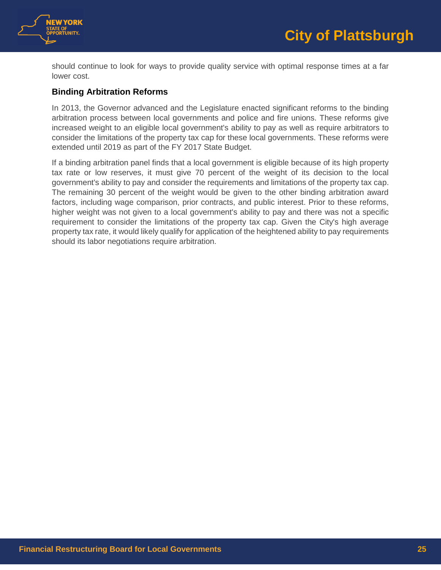

should continue to look for ways to provide quality service with optimal response times at a far lower cost.

# **Binding Arbitration Reforms**

In 2013, the Governor advanced and the Legislature enacted significant reforms to the binding arbitration process between local governments and police and fire unions. These reforms give increased weight to an eligible local government's ability to pay as well as require arbitrators to consider the limitations of the property tax cap for these local governments. These reforms were extended until 2019 as part of the FY 2017 State Budget.

If a binding arbitration panel finds that a local government is eligible because of its high property tax rate or low reserves, it must give 70 percent of the weight of its decision to the local government's ability to pay and consider the requirements and limitations of the property tax cap. The remaining 30 percent of the weight would be given to the other binding arbitration award factors, including wage comparison, prior contracts, and public interest. Prior to these reforms, higher weight was not given to a local government's ability to pay and there was not a specific requirement to consider the limitations of the property tax cap. Given the City's high average property tax rate, it would likely qualify for application of the heightened ability to pay requirements should its labor negotiations require arbitration.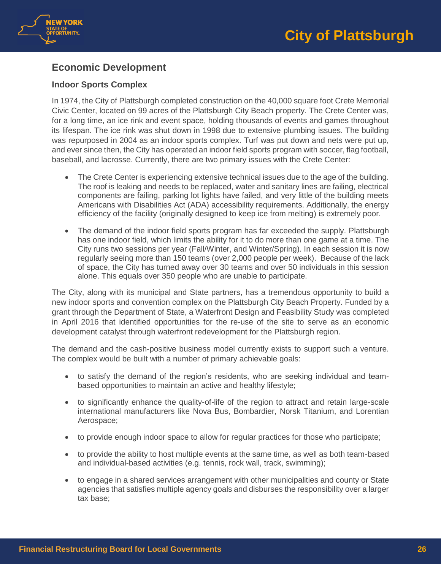



# <span id="page-25-0"></span>**Economic Development**

# **Indoor Sports Complex**

In 1974, the City of Plattsburgh completed construction on the 40,000 square foot Crete Memorial Civic Center, located on 99 acres of the Plattsburgh City Beach property. The Crete Center was, for a long time, an ice rink and event space, holding thousands of events and games throughout its lifespan. The ice rink was shut down in 1998 due to extensive plumbing issues. The building was repurposed in 2004 as an indoor sports complex. Turf was put down and nets were put up, and ever since then, the City has operated an indoor field sports program with soccer, flag football, baseball, and lacrosse. Currently, there are two primary issues with the Crete Center:

- The Crete Center is experiencing extensive technical issues due to the age of the building. The roof is leaking and needs to be replaced, water and sanitary lines are failing, electrical components are failing, parking lot lights have failed, and very little of the building meets Americans with Disabilities Act (ADA) accessibility requirements. Additionally, the energy efficiency of the facility (originally designed to keep ice from melting) is extremely poor.
- The demand of the indoor field sports program has far exceeded the supply. Plattsburgh has one indoor field, which limits the ability for it to do more than one game at a time. The City runs two sessions per year (Fall/Winter, and Winter/Spring). In each session it is now regularly seeing more than 150 teams (over 2,000 people per week). Because of the lack of space, the City has turned away over 30 teams and over 50 individuals in this session alone. This equals over 350 people who are unable to participate.

The City, along with its municipal and State partners, has a tremendous opportunity to build a new indoor sports and convention complex on the Plattsburgh City Beach Property. Funded by a grant through the Department of State, a Waterfront Design and Feasibility Study was completed in April 2016 that identified opportunities for the re-use of the site to serve as an economic development catalyst through waterfront redevelopment for the Plattsburgh region.

The demand and the cash-positive business model currently exists to support such a venture. The complex would be built with a number of primary achievable goals:

- to satisfy the demand of the region's residents, who are seeking individual and teambased opportunities to maintain an active and healthy lifestyle;
- to significantly enhance the quality-of-life of the region to attract and retain large-scale international manufacturers like Nova Bus, Bombardier, Norsk Titanium, and Lorentian Aerospace;
- to provide enough indoor space to allow for regular practices for those who participate;
- to provide the ability to host multiple events at the same time, as well as both team-based and individual-based activities (e.g. tennis, rock wall, track, swimming);
- to engage in a shared services arrangement with other municipalities and county or State agencies that satisfies multiple agency goals and disburses the responsibility over a larger tax base;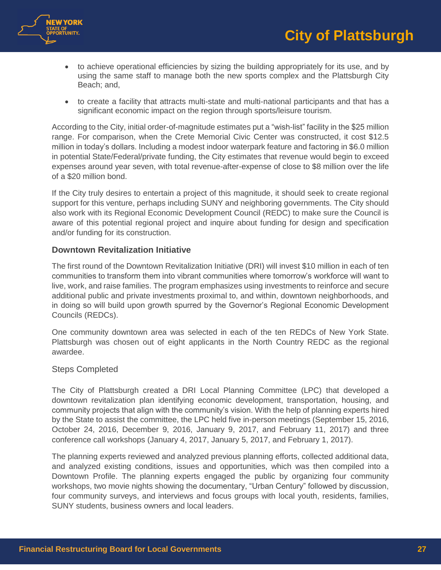



- to achieve operational efficiencies by sizing the building appropriately for its use, and by using the same staff to manage both the new sports complex and the Plattsburgh City Beach; and,
- to create a facility that attracts multi-state and multi-national participants and that has a significant economic impact on the region through sports/leisure tourism.

According to the City, initial order-of-magnitude estimates put a "wish-list" facility in the \$25 million range. For comparison, when the Crete Memorial Civic Center was constructed, it cost \$12.5 million in today's dollars. Including a modest indoor waterpark feature and factoring in \$6.0 million in potential State/Federal/private funding, the City estimates that revenue would begin to exceed expenses around year seven, with total revenue-after-expense of close to \$8 million over the life of a \$20 million bond.

If the City truly desires to entertain a project of this magnitude, it should seek to create regional support for this venture, perhaps including SUNY and neighboring governments. The City should also work with its Regional Economic Development Council (REDC) to make sure the Council is aware of this potential regional project and inquire about funding for design and specification and/or funding for its construction.

#### **Downtown Revitalization Initiative**

The first round of the Downtown Revitalization Initiative (DRI) will invest \$10 million in each of ten communities to transform them into vibrant communities where tomorrow's workforce will want to live, work, and raise families. The program emphasizes using investments to reinforce and secure additional public and private investments proximal to, and within, downtown neighborhoods, and in doing so will build upon growth spurred by the Governor's Regional Economic Development Councils (REDCs).

One community downtown area was selected in each of the ten REDCs of New York State. Plattsburgh was chosen out of eight applicants in the North Country REDC as the regional awardee.

#### Steps Completed

The City of Plattsburgh created a DRI Local Planning Committee (LPC) that developed a downtown revitalization plan identifying economic development, transportation, housing, and community projects that align with the community's vision. With the help of planning experts hired by the State to assist the committee, the LPC held five in-person meetings (September 15, 2016, October 24, 2016, December 9, 2016, January 9, 2017, and February 11, 2017) and three conference call workshops (January 4, 2017, January 5, 2017, and February 1, 2017).

The planning experts reviewed and analyzed previous planning efforts, collected additional data, and analyzed existing conditions, issues and opportunities, which was then compiled into a Downtown Profile. The planning experts engaged the public by organizing four community workshops, two movie nights showing the documentary, "Urban Century" followed by discussion, four community surveys, and interviews and focus groups with local youth, residents, families, SUNY students, business owners and local leaders.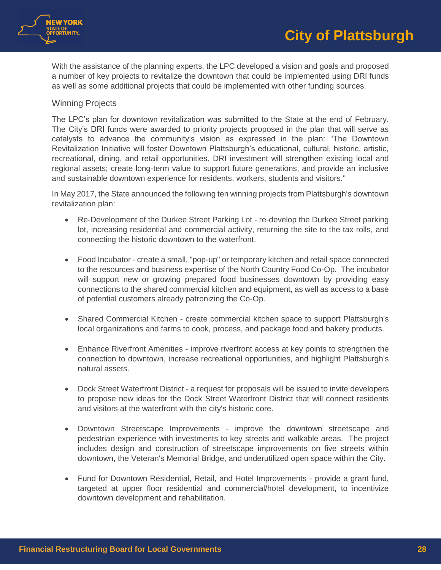

With the assistance of the planning experts, the LPC developed a vision and goals and proposed a number of key projects to revitalize the downtown that could be implemented using DRI funds as well as some additional projects that could be implemented with other funding sources.

## Winning Projects

The LPC's plan for downtown revitalization was submitted to the State at the end of February. The City's DRI funds were awarded to priority projects proposed in the plan that will serve as catalysts to advance the community's vision as expressed in the plan: "The Downtown Revitalization Initiative will foster Downtown Plattsburgh's educational, cultural, historic, artistic, recreational, dining, and retail opportunities. DRI investment will strengthen existing local and regional assets; create long-term value to support future generations, and provide an inclusive and sustainable downtown experience for residents, workers, students and visitors."

In May 2017, the State announced the following ten winning projects from Plattsburgh's downtown revitalization plan:

- Re-Development of the Durkee Street Parking Lot re-develop the Durkee Street parking lot, increasing residential and commercial activity, returning the site to the tax rolls, and connecting the historic downtown to the waterfront.
- Food Incubator create a small, "pop-up" or temporary kitchen and retail space connected to the resources and business expertise of the North Country Food Co-Op. The incubator will support new or growing prepared food businesses downtown by providing easy connections to the shared commercial kitchen and equipment, as well as access to a base of potential customers already patronizing the Co-Op.
- Shared Commercial Kitchen create commercial kitchen space to support Plattsburgh's local organizations and farms to cook, process, and package food and bakery products.
- Enhance Riverfront Amenities improve riverfront access at key points to strengthen the connection to downtown, increase recreational opportunities, and highlight Plattsburgh's natural assets.
- Dock Street Waterfront District a request for proposals will be issued to invite developers to propose new ideas for the Dock Street Waterfront District that will connect residents and visitors at the waterfront with the city's historic core.
- Downtown Streetscape Improvements improve the downtown streetscape and pedestrian experience with investments to key streets and walkable areas. The project includes design and construction of streetscape improvements on five streets within downtown, the Veteran's Memorial Bridge, and underutilized open space within the City.
- Fund for Downtown Residential, Retail, and Hotel Improvements provide a grant fund, targeted at upper floor residential and commercial/hotel development, to incentivize downtown development and rehabilitation.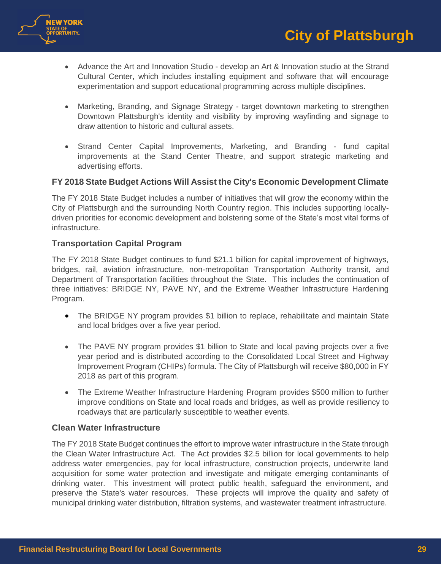

- Advance the Art and Innovation Studio develop an Art & Innovation studio at the Strand Cultural Center, which includes installing equipment and software that will encourage experimentation and support educational programming across multiple disciplines.
- Marketing, Branding, and Signage Strategy target downtown marketing to strengthen Downtown Plattsburgh's identity and visibility by improving wayfinding and signage to draw attention to historic and cultural assets.
- Strand Center Capital Improvements, Marketing, and Branding fund capital improvements at the Stand Center Theatre, and support strategic marketing and advertising efforts.

# **FY 2018 State Budget Actions Will Assist the City's Economic Development Climate**

The FY 2018 State Budget includes a number of initiatives that will grow the economy within the City of Plattsburgh and the surrounding North Country region. This includes supporting locallydriven priorities for economic development and bolstering some of the State's most vital forms of infrastructure.

## **Transportation Capital Program**

The FY 2018 State Budget continues to fund \$21.1 billion for capital improvement of highways, bridges, rail, aviation infrastructure, non-metropolitan Transportation Authority transit, and Department of Transportation facilities throughout the State. This includes the continuation of three initiatives: BRIDGE NY, PAVE NY, and the Extreme Weather Infrastructure Hardening Program.

- The BRIDGE NY program provides \$1 billion to replace, rehabilitate and maintain State and local bridges over a five year period.
- The PAVE NY program provides \$1 billion to State and local paving projects over a five year period and is distributed according to the Consolidated Local Street and Highway Improvement Program (CHIPs) formula. The City of Plattsburgh will receive \$80,000 in FY 2018 as part of this program.
- The Extreme Weather Infrastructure Hardening Program provides \$500 million to further improve conditions on State and local roads and bridges, as well as provide resiliency to roadways that are particularly susceptible to weather events.

# **Clean Water Infrastructure**

The FY 2018 State Budget continues the effort to improve water infrastructure in the State through the Clean Water Infrastructure Act. The Act provides \$2.5 billion for local governments to help address water emergencies, pay for local infrastructure, construction projects, underwrite land acquisition for some water protection and investigate and mitigate emerging contaminants of drinking water. This investment will protect public health, safeguard the environment, and preserve the State's water resources. These projects will improve the quality and safety of municipal drinking water distribution, filtration systems, and wastewater treatment infrastructure.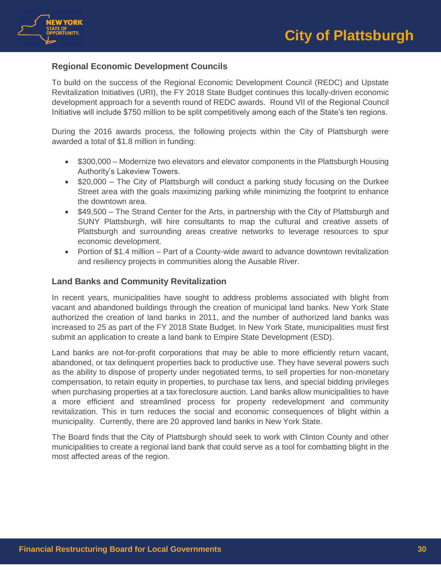

# **Regional Economic Development Councils**

To build on the success of the Regional Economic Development Council (REDC) and Upstate Revitalization Initiatives (URI), the FY 2018 State Budget continues this locally-driven economic development approach for a seventh round of REDC awards. Round VII of the Regional Council Initiative will include \$750 million to be split competitively among each of the State's ten regions.

During the 2016 awards process, the following projects within the City of Plattsburgh were awarded a total of \$1.8 million in funding:

- \$300,000 Modernize two elevators and elevator components in the Plattsburgh Housing Authority's Lakeview Towers.
- \$20,000 The City of Plattsburgh will conduct a parking study focusing on the Durkee Street area with the goals maximizing parking while minimizing the footprint to enhance the downtown area.
- \$49,500 The Strand Center for the Arts, in partnership with the City of Plattsburgh and SUNY Plattsburgh, will hire consultants to map the cultural and creative assets of Plattsburgh and surrounding areas creative networks to leverage resources to spur economic development.
- Portion of \$1.4 million Part of a County-wide award to advance downtown revitalization and resiliency projects in communities along the Ausable River.

# **Land Banks and Community Revitalization**

In recent years, municipalities have sought to address problems associated with blight from vacant and abandoned buildings through the creation of municipal land banks. New York State authorized the creation of land banks in 2011, and the number of authorized land banks was increased to 25 as part of the FY 2018 State Budget. In New York State, municipalities must first submit an application to create a land bank to Empire State Development (ESD).

Land banks are not-for-profit corporations that may be able to more efficiently return vacant, abandoned, or tax delinquent properties back to productive use. They have several powers such as the ability to dispose of property under negotiated terms, to sell properties for non-monetary compensation, to retain equity in properties, to purchase tax liens, and special bidding privileges when purchasing properties at a tax foreclosure auction. Land banks allow municipalities to have a more efficient and streamlined process for property redevelopment and community revitalization. This in turn reduces the social and economic consequences of blight within a municipality. Currently, there are 20 approved land banks in New York State.

The Board finds that the City of Plattsburgh should seek to work with Clinton County and other municipalities to create a regional land bank that could serve as a tool for combatting blight in the most affected areas of the region.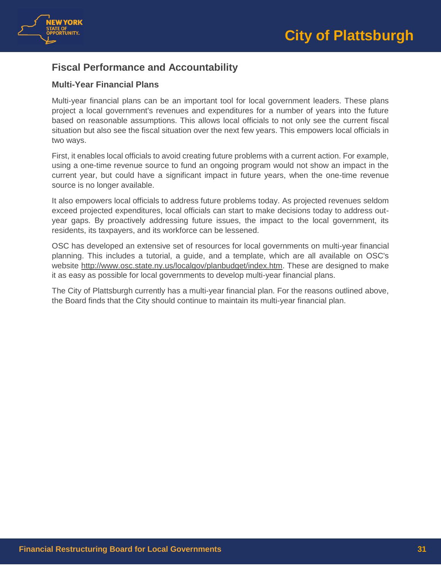

# <span id="page-30-0"></span>**Fiscal Performance and Accountability**

# **Multi-Year Financial Plans**

Multi-year financial plans can be an important tool for local government leaders. These plans project a local government's revenues and expenditures for a number of years into the future based on reasonable assumptions. This allows local officials to not only see the current fiscal situation but also see the fiscal situation over the next few years. This empowers local officials in two ways.

First, it enables local officials to avoid creating future problems with a current action. For example, using a one-time revenue source to fund an ongoing program would not show an impact in the current year, but could have a significant impact in future years, when the one-time revenue source is no longer available.

It also empowers local officials to address future problems today. As projected revenues seldom exceed projected expenditures, local officials can start to make decisions today to address outyear gaps. By proactively addressing future issues, the impact to the local government, its residents, its taxpayers, and its workforce can be lessened.

OSC has developed an extensive set of resources for local governments on multi-year financial planning. This includes a tutorial, a guide, and a template, which are all available on OSC's website [http://www.osc.state.ny.us/localgov/planbudget/index.htm.](http://www.osc.state.ny.us/localgov/planbudget/index.htm) These are designed to make it as easy as possible for local governments to develop multi-year financial plans.

The City of Plattsburgh currently has a multi-year financial plan. For the reasons outlined above, the Board finds that the City should continue to maintain its multi-year financial plan.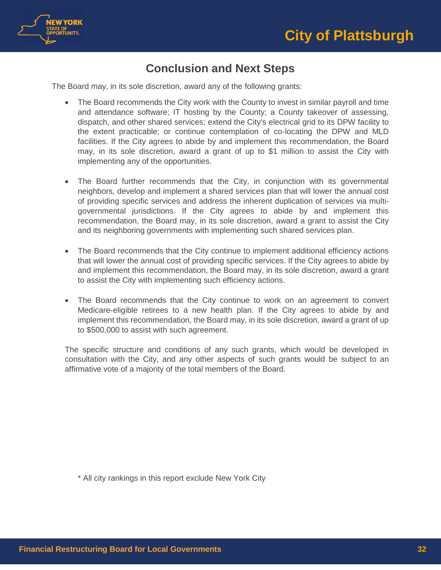



# **Conclusion and Next Steps**

<span id="page-31-0"></span>The Board may, in its sole discretion, award any of the following grants:

- The Board recommends the City work with the County to invest in similar payroll and time and attendance software; IT hosting by the County; a County takeover of assessing, dispatch, and other shared services; extend the City's electrical grid to its DPW facility to the extent practicable; or continue contemplation of co-locating the DPW and MLD facilities. If the City agrees to abide by and implement this recommendation, the Board may, in its sole discretion, award a grant of up to \$1 million to assist the City with implementing any of the opportunities.
- The Board further recommends that the City, in conjunction with its governmental neighbors, develop and implement a shared services plan that will lower the annual cost of providing specific services and address the inherent duplication of services via multigovernmental jurisdictions. If the City agrees to abide by and implement this recommendation, the Board may, in its sole discretion, award a grant to assist the City and its neighboring governments with implementing such shared services plan.
- The Board recommends that the City continue to implement additional efficiency actions that will lower the annual cost of providing specific services. If the City agrees to abide by and implement this recommendation, the Board may, in its sole discretion, award a grant to assist the City with implementing such efficiency actions.
- The Board recommends that the City continue to work on an agreement to convert Medicare-eligible retirees to a new health plan. If the City agrees to abide by and implement this recommendation, the Board may, in its sole discretion, award a grant of up to \$500,000 to assist with such agreement.

The specific structure and conditions of any such grants, which would be developed in consultation with the City, and any other aspects of such grants would be subject to an affirmative vote of a majority of the total members of the Board.

\* All city rankings in this report exclude New York City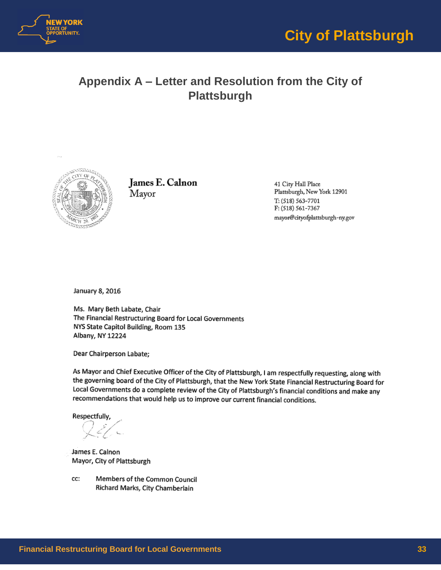

# <span id="page-32-0"></span>**Appendix A – Letter and Resolution from the City of Plattsburgh**



James E. Calnon Mayor

41 City Hall Place Plattsburgh, New York 12901 T: (518) 563-7701 F: (518) 561-7367 mayor@cityofplattsburgh-ny.gov

January 8, 2016

Ms. Mary Beth Labate, Chair The Financial Restructuring Board for Local Governments NYS State Capitol Building, Room 135 Albany, NY 12224

Dear Chairperson Labate;

As Mayor and Chief Executive Officer of the City of Plattsburgh, I am respectfully requesting, along with the governing board of the City of Plattsburgh, that the New York State Financial Restructuring Board for Local Governments do a complete review of the City of Plattsburgh's financial conditions and make any recommendations that would help us to improve our current financial conditions.

Respectfully,

James E. Calnon Mayor, City of Plattsburgh

Members of the Common Council cc: Richard Marks, City Chamberlain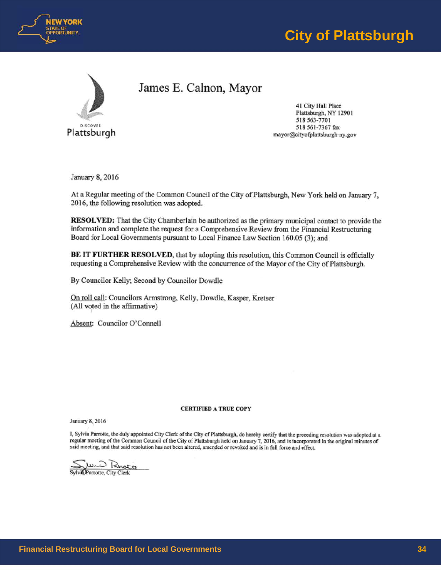

# **City of Plattsburgh**



James E. Calnon, Mayor

41 City Hall Place Plattsburgh, NY 12901 .518 563-T701 518 561-7367 fax mayor@cityofplattsburgh-ny.gov

January 8, 2016

At a Regular meeting of the Common Council of the City of Plattsburgh, New York held on January 7, 2016, the following resolution was adopted.

RESOLVED: That the City Chamberlain be authorized as the primary municipal contact to provide the information and complete the request for a Comprehensive Review from the Financial Restructuring Board for Local Governments pursuant to Local Finance Law Section 160.05 (3); and

BE IT FURTHER RESOLVED, that by adopting this resolution, this Common Council is officially requesting a Comprehensive Review with the concurrence of the Mayor of the City of Plattsburgh.

By Councilor Kelly; Second by Councilor Dowdle

On roll call: Councilors Armstrong, Kelly, Dowdle, Kasper, Kretser (AU voted in the affirmative)

Absent: Councilor O'Connell

#### CERTIFIED A TRUE COPY

January 8, 2016

I, Sylvia Parrotte, the duly appointed City Clerk of the City of Plattsburgh, do hereby certify that the preceding resolution was adopted at a regular meeting of the Common Council of the City of Plattsburgh held on January 7, 2016, and is incorporated in the original minutes of said meeting, and that said resolution has not been altered, amended or revoked and is in full force and effect.

S)/i7 ~~ *aJt0tte:* City Clerk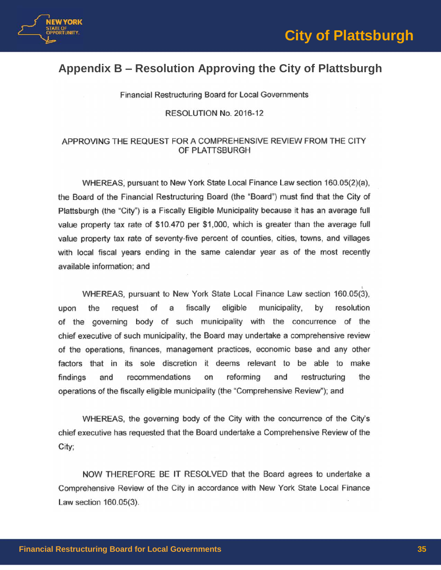



# <span id="page-34-0"></span>**Appendix B – Resolution Approving the City of Plattsburgh**

Financial Restructuring Board for Local Governments

RESOLUTION No. 2016-12

## APPROVlNG THE REQUEST FOR A COMPREHENSIVE REVIEW FROM THE CITY OF PLATISBURGH

WHEREAS, pursuant to New York State Local Finance Law section 160.05(2)(a), the Board of the Financial Restructuring Board (the "Board") must find that the City of Plattsburgh (the "City") is a Fiscally Eligible Municipality because it has an average full value property tax rate of \$10.470 per \$1,000, which is greater than the average full value property tax rate of seventy-five percent of counties, cities, towns, and villages with local fiscal years ending in the same calendar year as of the most recently available information; and

WHEREAS, pursuant to New York State Local Finance Law section 160.05(3). upon the request of a fiscally eligible municipality, by resolution of the governing body of such municipality with the concurrence of the chief executive of such municipality, the Board may undertake a comprehensive review of the operations, finances, management practices, economic base and any other factors that in its sole discretion it deems relevant to be able to make findings and recommendations on reforming and restructuring the operations of the fiscally eligible municipality (the "Comprehensive Review"); and

WHEREAS, the governing body of the City with the concurrence of the City's chief executive has requested that the Board undertake a Comprehensive Review of the City;

NOW THEREFORE BE IT RESOLVED that the Board agrees to undertake a Comprehensive Review of the City in accordance with New York State Local Finance Law section 160.05(3).